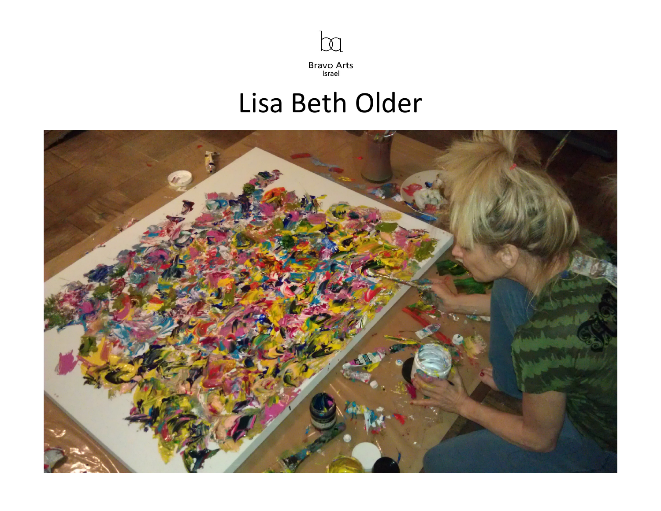

## Lisa Beth Older